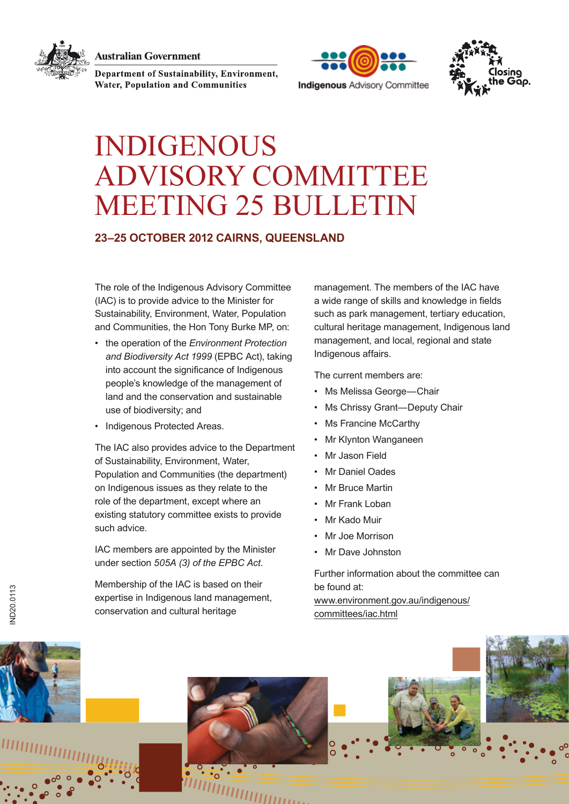**Australian Government** 



Department of Sustainability, Environment, **Water, Population and Communities** 





# INDIGENOUS ADVISORY COMMITTEE MEETING 25 BULLETIN

#### **23–25 OCTOBER 2012 CAIRNS, QUEENSLAND**

The role of the Indigenous Advisory Committee (IAC) is to provide advice to the Minister for Sustainability, Environment, Water, Population and Communities, the Hon Tony Burke MP, on:

- • the operation of the *Environment Protection and Biodiversity Act 1999* (EPBC Act), taking into account the significance of Indigenous people's knowledge of the management of land and the conservation and sustainable use of biodiversity; and
- Indigenous Protected Areas.

The IAC also provides advice to the Department of Sustainability, Environment, Water, Population and Communities (the department) on Indigenous issues as they relate to the role of the department, except where an existing statutory committee exists to provide such advice.

IAC members are appointed by the Minister under section *505A (3) of the EPBC Act*.

Membership of the IAC is based on their expertise in Indigenous land management, conservation and cultural heritage

management. The members of the IAC have a wide range of skills and knowledge in fields such as park management, tertiary education, cultural heritage management, Indigenous land management, and local, regional and state Indigenous affairs.

The current members are:

- • Ms Melissa George—Chair
- Ms Chrissy Grant-Deputy Chair
- • Ms Francine McCarthy
- **Mr Klynton Wanganeen**
- Mr Jason Field
- **Mr Daniel Oades**
- Mr Bruce Martin
- **Mr Frank Loban**
- Mr Kado Muir
- Mr Joe Morrison
- **Mr Dave Johnston**

[committees/iac.html](http://www.environment.gov.au/indigenous/committees/iac.html)

Further information about the committee can be found at: [www.environment.gov.au/indigenous/](http://www.environment.gov.au/indigenous/committees/iac.html)



////////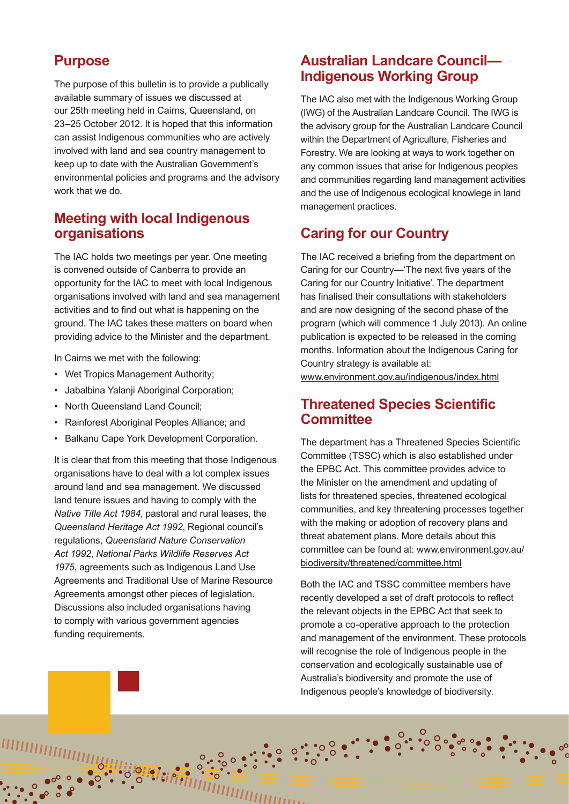# **Purpose**

The purpose of this bulletin is to provide a publically available summary of issues we discussed at our 25th meeting held in Cairns, Queensland, on 23–25 October 2012. It is hoped that this information can assist Indigenous communities who are actively involved with land and sea country management to keep up to date with the Australian Government's environmental policies and programs and the advisory work that we do.

## **Meeting with local Indigenous organisations**

The IAC holds two meetings per year. One meeting is convened outside of Canberra to provide an opportunity for the IAC to meet with local Indigenous organisations involved with land and sea management activities and to find out what is happening on the ground. The IAC takes these matters on board when providing advice to the Minister and the department.

In Cairns we met with the following:

- Wet Tropics Management Authority;
- • Jabalbina Yalanji Aboriginal Corporation;
- • North Queensland Land Council;

munumumu

- • Rainforest Aboriginal Peoples Alliance; and
- Balkanu Cape York Development Corporation.

It is clear that from this meeting that those Indigenous organisations have to deal with a lot complex issues around land and sea management. We discussed land tenure issues and having to comply with the *Native Title Act 1984*, pastoral and rural leases, the *Queensland Heritage Act 1992*, Regional council's regulations, *Queensland Nature Conservation Act 1992*, *National Parks Wildlife Reserves Act 1975*, agreements such as Indigenous Land Use Agreements and Traditional Use of Marine Resource Agreements amongst other pieces of legislation. Discussions also included organisations having to comply with various government agencies funding requirements.

*THIHIIIIIIIIIIII* 

# **Australian Landcare Council— Indigenous Working Group**

The IAC also met with the Indigenous Working Group (IWG) of the Australian Landcare Council. The IWG is the advisory group for the Australian Landcare Council within the Department of Agriculture, Fisheries and Forestry. We are looking at ways to work together on any common issues that arise for Indigenous peoples and communities regarding land management activities and the use of Indigenous ecological knowlege in land management practices.

# **Caring for our Country**

The IAC received a briefing from the department on Caring for our Country—'The next five years of the Caring for our Country Initiative'. The department has finalised their consultations with stakeholders and are now designing of the second phase of the program (which will commence 1 July 2013). An online publication is expected to be released in the coming months. Information about the Indigenous Caring for Country strategy is available at: [www.environment.gov.au/indigenous/index.html](http://www.environment.gov.au/indigenous/index.html)

# **Threatened Species Scientific Committee**

The department has a Threatened Species Scientific Committee (TSSC) which is also established under the EPBC Act. This committee provides advice to the Minister on the amendment and updating of lists for threatened species, threatened ecological communities, and key threatening processes together with the making or adoption of recovery plans and threat abatement plans. More details about this committee can be found at: [www.environment.gov.au/](http://www.environment.gov.au/biodiversity/threatened/committee.html) [biodiversity/threatened/committee.html](http://www.environment.gov.au/biodiversity/threatened/committee.html)

Both the IAC and TSSC committee members have recently developed a set of draft protocols to reflect the relevant objects in the EPBC Act that seek to promote a co-operative approach to the protection and management of the environment. These protocols will recognise the role of Indigenous people in the conservation and ecologically sustainable use of Australia's biodiversity and promote the use of Indigenous people's knowledge of biodiversity.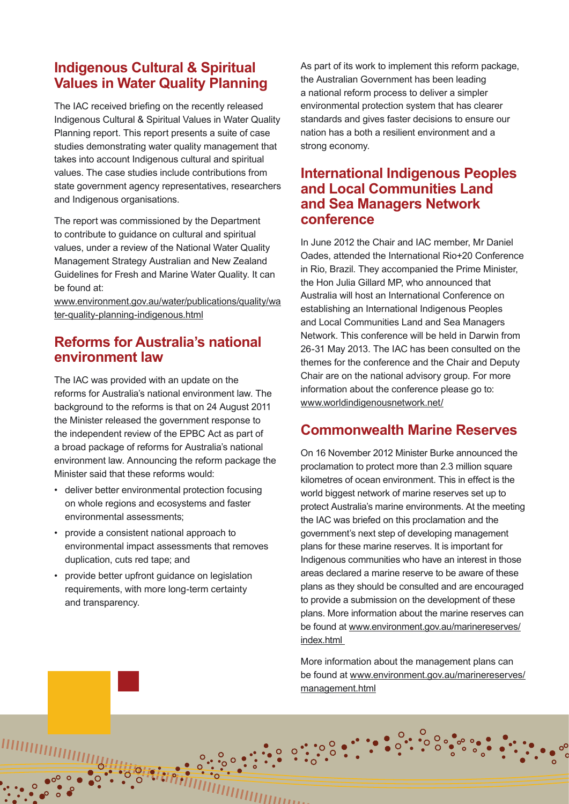# **Indigenous Cultural & Spiritual Values in Water Quality Planning**

The IAC received briefing on the recently released Indigenous Cultural & Spiritual Values in Water Quality Planning report. This report presents a suite of case studies demonstrating water quality management that takes into account Indigenous cultural and spiritual values. The case studies include contributions from state government agency representatives, researchers and Indigenous organisations.

The report was commissioned by the Department to contribute to guidance on cultural and spiritual values, under a review of the National Water Quality Management Strategy Australian and New Zealand Guidelines for Fresh and Marine Water Quality. It can be found at:

[www.environment.gov.au/water/publications/quality/wa](http://www.environment.gov.au/water/publications/quality/water-quality-planning-indigenous.html) [ter-quality-planning-indigenous.html](http://www.environment.gov.au/water/publications/quality/water-quality-planning-indigenous.html)

#### **Reforms for Australia's national environment law**

The IAC was provided with an update on the reforms for Australia's national environment law. The background to the reforms is that on 24 August 2011 the Minister released the government response to the independent review of the EPBC Act as part of a broad package of reforms for Australia's national environment law. Announcing the reform package the Minister said that these reforms would:

- • deliver better environmental protection focusing on whole regions and ecosystems and faster environmental assessments;
- • provide a consistent national approach to environmental impact assessments that removes duplication, cuts red tape; and
- provide better upfront quidance on legislation requirements, with more long-term certainty and transparency.

'''''''''''''''''''''

 $\cdot \circ \circ$ 

mmmmmmm

As part of its work to implement this reform package, the Australian Government has been leading a national reform process to deliver a simpler environmental protection system that has clearer standards and gives faster decisions to ensure our nation has a both a resilient environment and a strong economy.

## **International Indigenous Peoples and Local Communities Land and Sea Managers Network conference**

In June 2012 the Chair and IAC member, Mr Daniel Oades, attended the International Rio+20 Conference in Rio, Brazil. They accompanied the Prime Minister, the Hon Julia Gillard MP, who announced that Australia will host an International Conference on establishing an International Indigenous Peoples and Local Communities Land and Sea Managers Network. This conference will be held in Darwin from 26-31 May 2013. The IAC has been consulted on the themes for the conference and the Chair and Deputy Chair are on the national advisory group. For more information about the conference please go to: [www.worldindigenousnetwork.net/](http://www.worldindigenousnetwork.net/)

## **Commonwealth Marine Reserves**

On 16 November 2012 Minister Burke announced the proclamation to protect more than 2.3 million square kilometres of ocean environment. This in effect is the world biggest network of marine reserves set up to protect Australia's marine environments. At the meeting the IAC was briefed on this proclamation and the government's next step of developing management plans for these marine reserves. It is important for Indigenous communities who have an interest in those areas declared a marine reserve to be aware of these plans as they should be consulted and are encouraged to provide a submission on the development of these plans. More information about the marine reserves can be found at [www.environment.gov.au/marinereserves/](http://www.environment.gov.au/marinereserves/index.html) [index.html](http://www.environment.gov.au/marinereserves/index.html)

More information about the management plans can be found at [www.environment.gov.au/marinereserves/](http://www.environment.gov.au/marinereserves/management.html) [management.html](http://www.environment.gov.au/marinereserves/management.html)